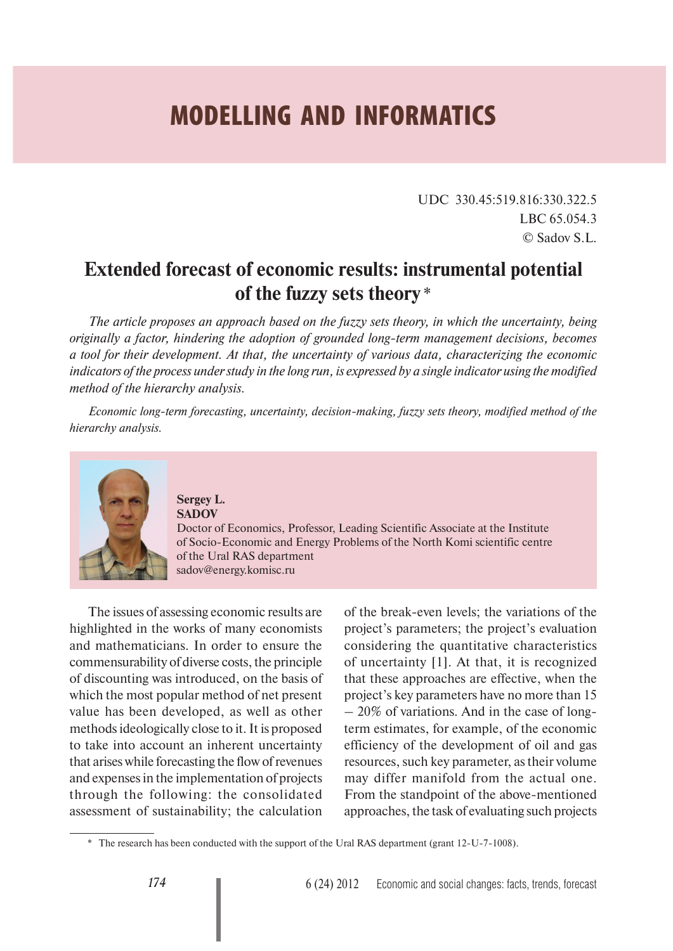## **MODELLING AND INFORMATICS**

UDC 330.45:519.816:330.322.5 LBC 65.054.3 © Sadov S.L.

## **Extended forecast of economic results: instrumental potential of the fuzzy sets theory** \*

*The article proposes an approach based on the fuzzy sets theory, in which the uncertainty, being originally a factor, hindering the adoption of grounded long-term management decisions, becomes a tool for their development. At that, the uncertainty of various data, characterizing the economic indicators of the process under study in the long run, is expressed by a single indicator using the modified method of the hierarchy analysis.*

*Economic long-term forecasting, uncertainty, decision-making, fuzzy sets theory, modified method of the hierarchy analysis.*



## **Sergey L. SADOV**

Doctor of Economics, Professor, Leading Scientific Associate at the Institute of Socio-Economic and Energy Problems of the North Komi scientific centre of the Ural RAS department sadov@energy.komisc.ru

The issues of assessing economic results are highlighted in the works of many economists and mathematicians. In order to ensure the commensurability of diverse costs, the principle of discounting was introduced, on the basis of which the most popular method of net present value has been developed, as well as other methods ideologically close to it. It is proposed to take into account an inherent uncertainty that arises while forecasting the flow of revenues and expenses in the implementation of projects through the following: the consolidated assessment of sustainability; the calculation

of the break-even levels; the variations of the project's parameters; the project's evaluation considering the quantitative characteristics of uncertainty [1]. At that, it is recognized that these approaches are effective, when the project's key parameters have no more than 15 – 20% of variations. And in the case of longterm estimates, for example, of the economic efficiency of the development of oil and gas resources, such key parameter, as their volume may differ manifold from the actual one. From the standpoint of the above-mentioned approaches, the task of evaluating such projects

<sup>\*</sup> The research has been conducted with the support of the Ural RAS department (grant 12-U-7-1008).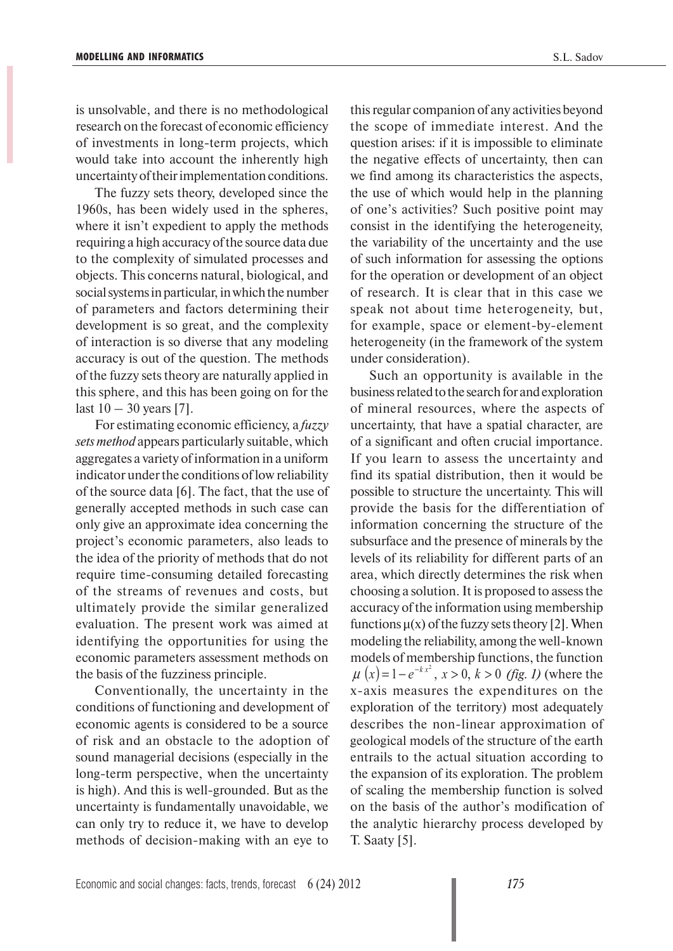is unsolvable, and there is no methodological research on the forecast of economic efficiency of investments in long-term projects, which would take into account the inherently high uncertainty of their implementation conditions.

The fuzzy sets theory, developed since the 1960s, has been widely used in the spheres, where it isn't expedient to apply the methods requiring a high accuracy of the source data due to the complexity of simulated processes and objects. This concerns natural, biological, and social systems in particular, in which the number of parameters and factors determining their development is so great, and the complexity of interaction is so diverse that any modeling accuracy is out of the question. The methods of the fuzzy sets theory are naturally applied in this sphere, and this has been going on for the last  $10 - 30$  years [7].

For estimating economic efficiency, a *fuzzy sets method* appears particularly suitable, which aggregates a variety of information in a uniform indicator under the conditions of low reliability of the source data [6]. The fact, that the use of generally accepted methods in such case can only give an approximate idea concerning the project's economic parameters, also leads to the idea of the priority of methods that do not require time-consuming detailed forecasting of the streams of revenues and costs, but ultimately provide the similar generalized evaluation. The present work was aimed at identifying the opportunities for using the economic parameters assessment methods on the basis of the fuzziness principle.

Conventionally, the uncertainty in the conditions of functioning and development of economic agents is considered to be a source of risk and an obstacle to the adoption of sound managerial decisions (especially in the long-term perspective, when the uncertainty is high). And this is well-grounded. But as the uncertainty is fundamentally unavoidable, we can only try to reduce it, we have to develop methods of decision-making with an eye to

this regular companion of any activities beyond the scope of immediate interest. And the question arises: if it is impossible to eliminate the negative effects of uncertainty, then can we find among its characteristics the aspects, the use of which would help in the planning of one's activities? Such positive point may consist in the identifying the heterogeneity, the variability of the uncertainty and the use of such information for assessing the options for the operation or development of an object of research. It is clear that in this case we speak not about time heterogeneity, but, for example, space or element-by-element heterogeneity (in the framework of the system under consideration).

Such an opportunity is available in the business related to the search for and exploration of mineral resources, where the aspects of uncertainty, that have a spatial character, are of a significant and often crucial importance. If you learn to assess the uncertainty and find its spatial distribution, then it would be possible to structure the uncertainty. This will provide the basis for the differentiation of information concerning the structure of the subsurface and the presence of minerals by the levels of its reliability for different parts of an area, which directly determines the risk when choosing a solution. It is proposed to assess the accuracy of the information using membership functions  $\mu(x)$  of the fuzzy sets theory [2]. When modeling the reliability, among the well-known models of membership functions, the function  $\mu(x) = 1 - e^{-kx^2}, x > 0, k > 0$  (fig. 1) (where the x-axis measures the expenditures on the exploration of the territory) most adequately describes the non-linear approximation of geological models of the structure of the earth entrails to the actual situation according to the expansion of its exploration. The problem of scaling the membership function is solved on the basis of the author's modification of the analytic hierarchy process developed by T. Saaty [5].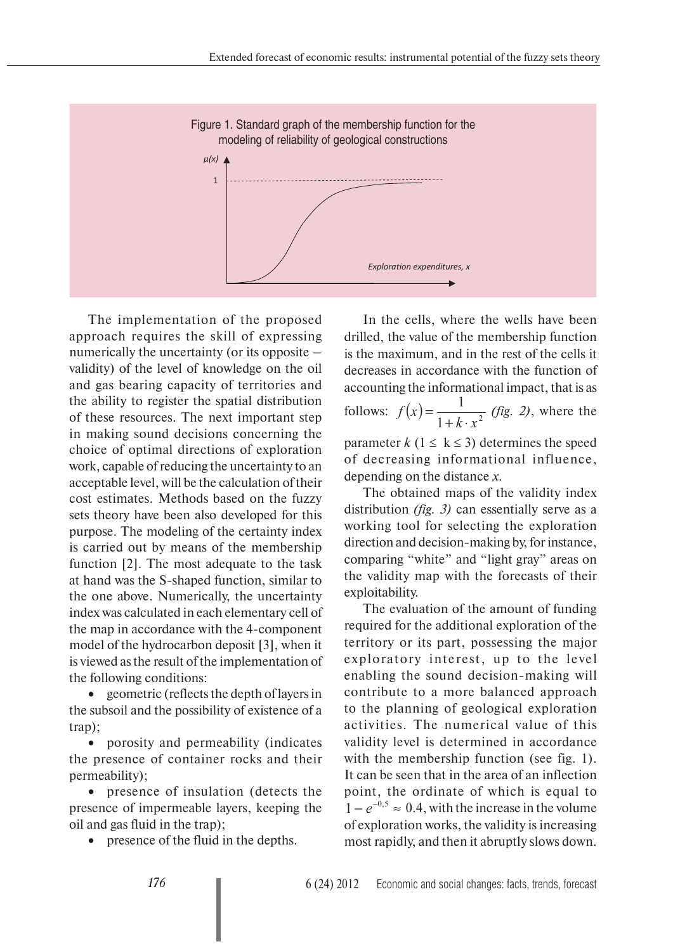

The implementation of the proposed approach requires the skill of expressing numerically the uncertainty (or its opposite – validity) of the level of knowledge on the oil and gas bearing capacity of territories and the ability to register the spatial distribution of these resources. The next important step in making sound decisions concerning the choice of optimal directions of exploration work, capable of reducing the uncertainty to an acceptable level, will be the calculation of their cost estimates. Methods based on the fuzzy sets theory have been also developed for this purpose. The modeling of the certainty index is carried out by means of the membership function [2]. The most adequate to the task at hand was the S-shaped function, similar to the one above. Numerically, the uncertainty index was calculated in each elementary cell of the map in accordance with the 4-component model of the hydrocarbon deposit [3], when it is viewed as the result of the implementation of the following conditions:

• geometric (reflects the depth of layers in the subsoil and the possibility of existence of a trap);

• porosity and permeability (indicates the presence of container rocks and their permeability);

• presence of insulation (detects the presence of impermeable layers, keeping the oil and gas fluid in the trap);

• presence of the fluid in the depths.

In the cells, where the wells have been drilled, the value of the membership function is the maximum, and in the rest of the cells it decreases in accordance with the function of accounting the informational impact, that is as follows:  $f(x) = \frac{1}{1 + k \cdot x^2}$ 1  $k \cdot x$  $f(x) = \frac{1}{1 + k \cdot x^2}$  *(fig. 2)*, where the parameter  $k$  (1  $\leq$  k  $\leq$  3) determines the speed

of decreasing informational influence, depending on the distance *x*.

The obtained maps of the validity index distribution *(fig. 3)* can essentially serve as a working tool for selecting the exploration direction and decision-making by, for instance, comparing "white" and "light gray" areas on the validity map with the forecasts of their exploitability.

The evaluation of the amount of funding required for the additional exploration of the territory or its part, possessing the major exploratory interest, up to the level enabling the sound decision-making will contribute to a more balanced approach to the planning of geological exploration activities. The numerical value of this validity level is determined in accordance with the membership function (see fig. 1). It can be seen that in the area of an inflection point, the ordinate of which is equal to  $1 - e^{-0.5} \approx 0.4$ , with the increase in the volume of exploration works, the validity is increasing most rapidly, and then it abruptly slows down.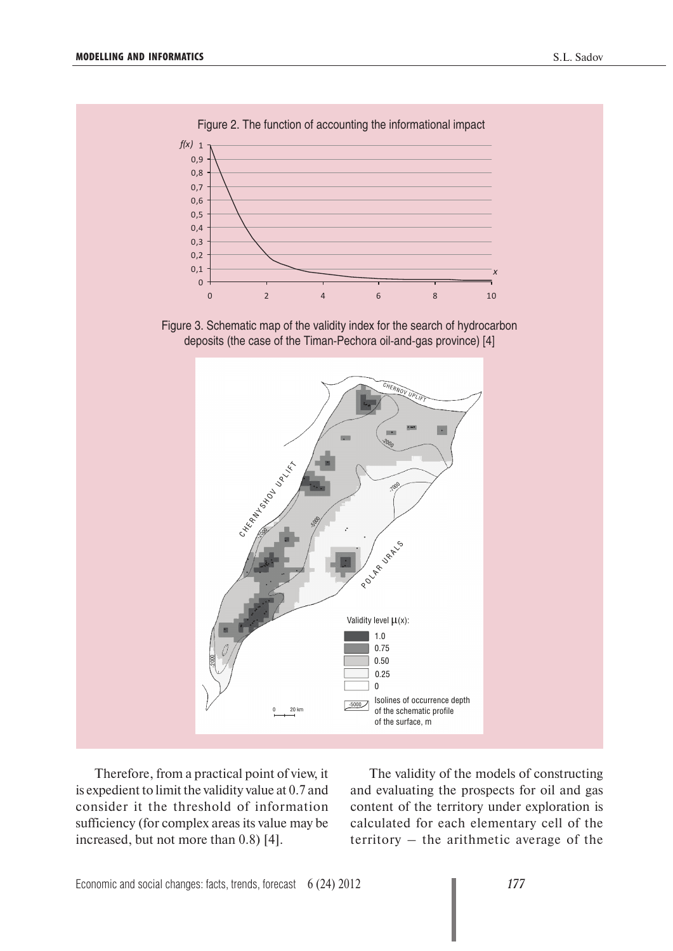

Figure 2. The function of accounting the informational impact

Therefore, from a practical point of view, it is expedient to limit the validity value at 0.7 and consider it the threshold of information sufficiency (for complex areas its value may be increased, but not more than 0.8) [4].

The validity of the models of constructing and evaluating the prospects for oil and gas content of the territory under exploration is calculated for each elementary cell of the territory – the arithmetic average of the